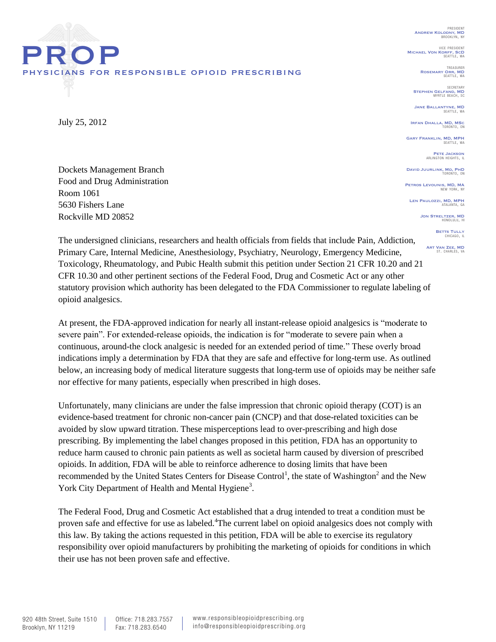PRESIDENT Andrew Kolodny, MD BROOKLYN, NY

VICE PRESIDENT<br>Michael Von Korff, ScD<br>SEATTLE, WA

TREASURER ROSEMARY ORR, MD

SECRETARY STEPHEN GELFAND, MD

JANE BALLANTYNE, MD

Irfan Dhalla, MD, MSc TORONTO, ON

**GARY FRANKLIN, MD, MPH** SEATTLE, WA

Pete Jackson ARLIN<sup>G</sup>

DAVID JUURLINK, MD, PHD

PETROS LEVOUNIS, MD, MA

LEN PAULOZZI, MD, MPH

JON STRELTZER, MD

**BETTS TULLY**<br>CHICAGO, IL

ART VAN ZEE, MD

Dockets Management Branch Food and Drug Administration Room 1061 5630 Fishers Lane Rockville MD 20852

physicians for responsible opioid prescribing

PROP

July 25, 2012

The undersigned clinicians, researchers and health officials from fields that include Pain, Addiction, Primary Care, Internal Medicine, Anesthesiology, Psychiatry, Neurology, Emergency Medicine, Toxicology, Rheumatology, and Pubic Health submit this petition under Section 21 CFR 10.20 and 21 CFR 10.30 and other pertinent sections of the Federal Food, Drug and Cosmetic Act or any other statutory provision which authority has been delegated to the FDA Commissioner to regulate labeling of opioid analgesics.

At present, the FDA-approved indication for nearly all instant-release opioid analgesics is "moderate to severe pain". For extended-release opioids, the indication is for "moderate to severe pain when a continuous, around-the clock analgesic is needed for an extended period of time." These overly broad indications imply a determination by FDA that they are safe and effective for long-term use. As outlined below, an increasing body of medical literature suggests that long-term use of opioids may be neither safe nor effective for many patients, especially when prescribed in high doses.

Unfortunately, many clinicians are under the false impression that chronic opioid therapy (COT) is an evidence-based treatment for chronic non-cancer pain (CNCP) and that dose-related toxicities can be avoided by slow upward titration. These misperceptions lead to over-prescribing and high dose prescribing. By implementing the label changes proposed in this petition, FDA has an opportunity to reduce harm caused to chronic pain patients as well as societal harm caused by diversion of prescribed opioids. In addition, FDA will be able to reinforce adherence to dosing limits that have been recommended by the United States Centers for Disease Control<sup>1</sup>, the state of Washington<sup>2</sup> and the New York City Department of Health and Mental Hygiene<sup>3</sup>.

The Federal Food, Drug and Cosmetic Act established that a drug intended to treat a condition must be proven safe and effective for use as labeled.<sup>4</sup>The current label on opioid analgesics does not comply with this law. By taking the actions requested in this petition, FDA will be able to exercise its regulatory responsibility over opioid manufacturers by prohibiting the marketing of opioids for conditions in which their use has not been proven safe and effective.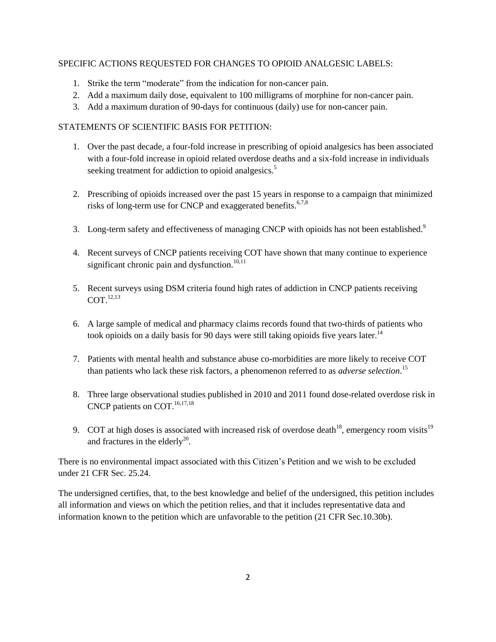## SPECIFIC ACTIONS REQUESTED FOR CHANGES TO OPIOID ANALGESIC LABELS:

- 1. Strike the term "moderate" from the indication for non-cancer pain.
- 2. Add a maximum daily dose, equivalent to 100 milligrams of morphine for non-cancer pain.
- 3. Add a maximum duration of 90-days for continuous (daily) use for non-cancer pain.

## STATEMENTS OF SCIENTIFIC BASIS FOR PETITION:

- 1. Over the past decade, a four-fold increase in prescribing of opioid analgesics has been associated with a four-fold increase in opioid related overdose deaths and a six-fold increase in individuals seeking treatment for addiction to opioid analgesics.<sup>5</sup>
- 2. Prescribing of opioids increased over the past 15 years in response to a campaign that minimized risks of long-term use for CNCP and exaggerated benefits.<sup>6,7,8</sup>
- 3. Long-term safety and effectiveness of managing CNCP with opioids has not been established.<sup>9</sup>
- 4. Recent surveys of CNCP patients receiving COT have shown that many continue to experience significant chronic pain and dysfunction. $10,11$
- 5. Recent surveys using DSM criteria found high rates of addiction in CNCP patients receiving COT. 12,13
- 6. A large sample of medical and pharmacy claims records found that two-thirds of patients who took opioids on a daily basis for 90 days were still taking opioids five years later.<sup>14</sup>
- 7. Patients with mental health and substance abuse co-morbidities are more likely to receive COT than patients who lack these risk factors, a phenomenon referred to as *adverse selection*. 15
- 8. Three large observational studies published in 2010 and 2011 found dose-related overdose risk in CNCP patients on COT.<sup>16,17,18</sup>
- 9. COT at high doses is associated with increased risk of overdose death<sup>18</sup>, emergency room visits<sup>19</sup> and fractures in the elderly<sup>20</sup>.

There is no environmental impact associated with this Citizen's Petition and we wish to be excluded under 21 CFR Sec. 25.24.

The undersigned certifies, that, to the best knowledge and belief of the undersigned, this petition includes all information and views on which the petition relies, and that it includes representative data and information known to the petition which are unfavorable to the petition (21 CFR Sec.10.30b).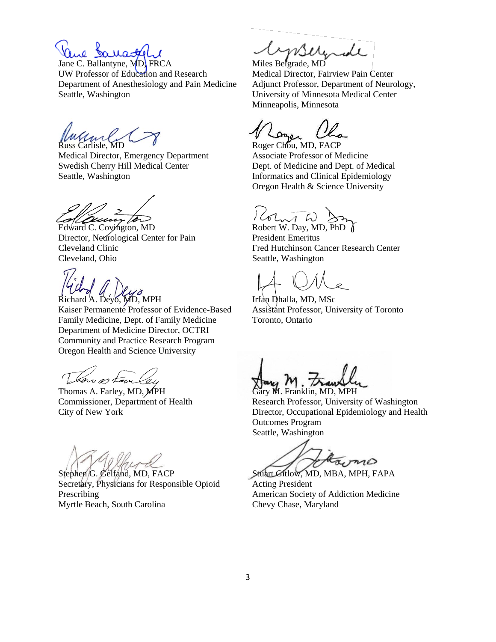Jane C. Ballantyne, MD, FRCA UW Professor of Education and Research Department of Anesthesiology and Pain Medicine Seattle, Washington

Russ Carlisle, MD

Medical Director, Emergency Department Swedish Cherry Hill Medical Center Seattle, Washington

Edward C. Covington, MD

Director, Neurological Center for Pain Cleveland Clinic Cleveland, Ohio

Richard A. Deyo, MD, MPH Kaiser Permanente Professor of Evidence-Based Family Medicine, Dept. of Family Medicine Department of Medicine Director, OCTRI Community and Practice Research Program Oregon Health and Science University

Thomas A. Farley, MD, MPH Commissioner, Department of Health City of New York

Stephen G. Gelfand, MD, FACP Secretary, Physicians for Responsible Opioid Prescribing Myrtle Beach, South Carolina

mserende

Miles Belgrade, MD Medical Director, Fairview Pain Center Adjunct Professor, Department of Neurology, University of Minnesota Medical Center Minneapolis, Minnesota

Roger Chou, MD, FACP Associate Professor of Medicine Dept. of Medicine and Dept. of Medical Informatics and Clinical Epidemiology Oregon Health & Science University

 $Rotan A$   $\rightarrow$  Robert W. Day, MD, PhD

President Emeritus Fred Hutchinson Cancer Research Center Seattle, Washington

Irfan Dhalla, MD, MSc Assistant Professor, University of Toronto Toronto, Ontario

Gary M. Franklin, MD, MPH Research Professor, University of Washington Director, Occupational Epidemiology and Health Outcomes Program Seattle, Washington

an  $m$ 

Stuart Gitlow, MD, MBA, MPH, FAPA Acting President American Society of Addiction Medicine Chevy Chase, Maryland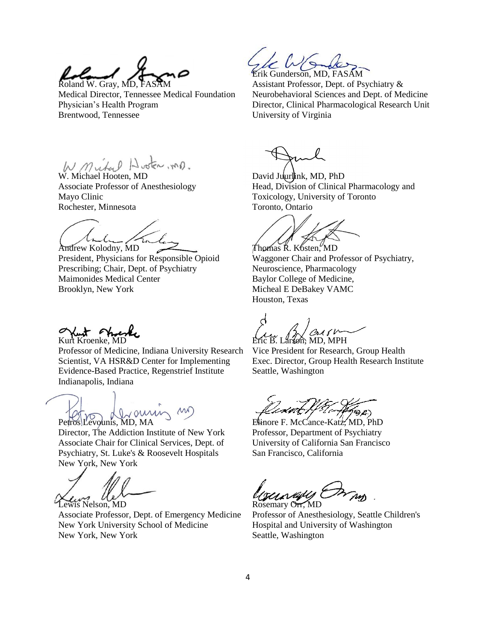Roland W. Gray, MD, FA

Medical Director, Tennessee Medical Foundation Physician's Health Program Brentwood, Tennessee

W. Michael Hooten, MD.

Associate Professor of Anesthesiology Mayo Clinic Rochester, Minnesota

 $\lambda$ . Andrew Kolodny, MD

President, Physicians for Responsible Opioid Prescribing; Chair, Dept. of Psychiatry Maimonides Medical Center Brooklyn, New York

Kurt Chue

Professor of Medicine, Indiana University Research Scientist, VA HSR&D Center for Implementing Evidence-Based Practice, Regenstrief Institute Indianapolis, Indiana

Petros Levounis, MD, MA

Director, The Addiction Institute of New York Associate Chair for Clinical Services, Dept. of Psychiatry, St. Luke's & Roosevelt Hospitals New York, New York

Lewis Nelson, MD

Associate Professor, Dept. of Emergency Medicine New York University School of Medicine New York, New York

Erik Gunderson, MD, FASAM

Assistant Professor, Dept. of Psychiatry & Neurobehavioral Sciences and Dept. of Medicine Director, Clinical Pharmacological Research Unit University of Virginia

David Juurlink, MD, PhD Head, Division of Clinical Pharmacology and Toxicology, University of Toronto Toronto, Ontario

Thomas R. Kosten, MD Waggoner Chair and Professor of Psychiatry, Neuroscience, Pharmacology Baylor College of Medicine, Micheal E DeBakey VAMC Houston, Texas

on, MD, MPH

Vice President for Research, Group Health Exec. Director, Group Health Research Institute Seattle, Washington

Elinore F. McCance-Katz, MD, PhD Professor, Department of Psychiatry University of California San Francisco San Francisco, California

Rosemary Orr, MD

Professor of Anesthesiology, Seattle Children's Hospital and University of Washington Seattle, Washington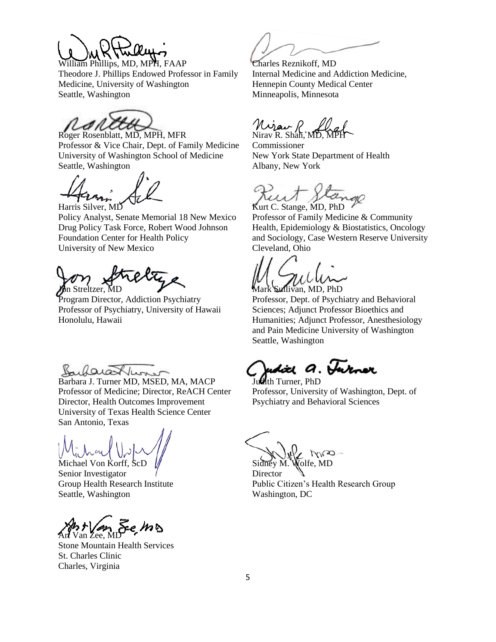

William Phillips, MD, MPH, FAAP Theodore J. Phillips Endowed Professor in Family Medicine, University of Washington Seattle, Washington

Roger Rosenblatt, MD, MPH, MFR Professor & Vice Chair, Dept. of Family Medicine University of Washington School of Medicine Seattle, Washington

Harris Silver, MD Policy Analyst, Senate Memorial 18 New Mexico Drug Policy Task Force, Robert Wood Johnson Foundation Center for Health Policy University of New Mexico

*on Streltzer*, MD

Program Director, Addiction Psychiatry Professor of Psychiatry, University of Hawaii Honolulu, Hawaii

Bubarathuner

Barbara J. Turner MD, MSED, MA, MACP Professor of Medicine; Director, ReACH Center Director, Health Outcomes Improvement University of Texas Health Science Center San Antonio, Texas

Michael Von Korff, ScD

Senior Investigator Group Health Research Institute Seattle, Washington

Art Van Zee, MD

Stone Mountain Health Services St. Charles Clinic Charles, Virginia

Charles Reznikoff, MD Internal Medicine and Addiction Medicine, Hennepin County Medical Center Minneapolis, Minnesota

 $M$  $\mu$  R. Shah, MD,

Commissioner New York State Department of Health Albany, New York

Kurt C. Stange, MD, PhD

Professor of Family Medicine & Community Health, Epidemiology & Biostatistics, Oncology and Sociology, Case Western Reserve University Cleveland, Ohio

Sullivan, MD, PhD

Professor, Dept. of Psychiatry and Behavioral Sciences; Adjunct Professor Bioethics and Humanities; Adjunct Professor, Anesthesiology and Pain Medicine University of Washington Seattle, Washington

Judith a. Turner

Judith Turner, PhD Professor, University of Washington, Dept. of Psychiatry and Behavioral Sciences

 $M_{\odot}$ Sidney M. Wolfe, MD

**Director** Public Citizen's Health Research Group Washington, DC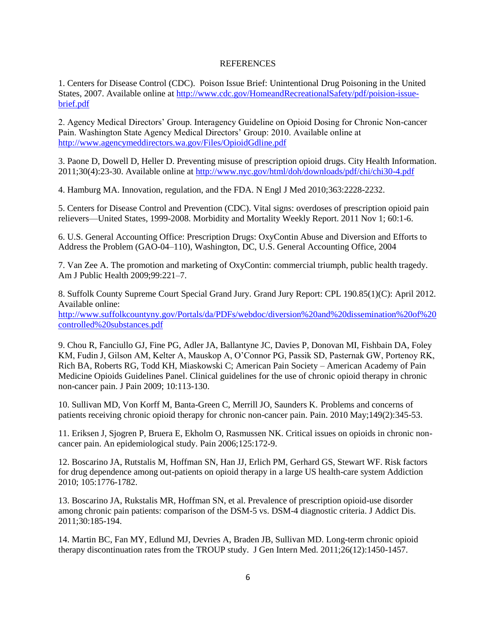## **REFERENCES**

1. Centers for Disease Control (CDC). Poison Issue Brief: Unintentional Drug Poisoning in the United States, 2007. Available online a[t http://www.cdc.gov/HomeandRecreationalSafety/pdf/poision-issue](http://www.cdc.gov/HomeandRecreationalSafety/pdf/poision-issue-brief.pdf)[brief.pdf](http://www.cdc.gov/HomeandRecreationalSafety/pdf/poision-issue-brief.pdf)

2. Agency Medical Directors' Group. Interagency Guideline on Opioid Dosing for Chronic Non-cancer Pain. Washington State Agency Medical Directors' Group: 2010. Available online at <http://www.agencymeddirectors.wa.gov/Files/OpioidGdline.pdf>

3. Paone D, Dowell D, Heller D. Preventing misuse of prescription opioid drugs. City Health Information. 2011;30(4):23-30. Available online at<http://www.nyc.gov/html/doh/downloads/pdf/chi/chi30-4.pdf>

4. Hamburg MA. Innovation, regulation, and the FDA. N Engl J Med 2010;363:2228-2232.

5. Centers for Disease Control and Prevention (CDC). Vital signs: overdoses of prescription opioid pain relievers—United States, 1999-2008. Morbidity and Mortality Weekly Report. 2011 Nov 1; 60:1-6.

6. U.S. General Accounting Office: Prescription Drugs: OxyContin Abuse and Diversion and Efforts to Address the Problem (GAO-04–110), Washington, DC, U.S. General Accounting Office, 2004

7. Van Zee A. The promotion and marketing of OxyContin: commercial triumph, public health tragedy. Am J Public Health 2009;99:221–7.

8. Suffolk County Supreme Court Special Grand Jury. Grand Jury Report: CPL 190.85(1)(C): April 2012. Available online:

[http://www.suffolkcountyny.gov/Portals/da/PDFs/webdoc/diversion%20and%20dissemination%20of%20](http://www.suffolkcountyny.gov/Portals/da/PDFs/webdoc/diversion%20and%20dissemination%20of%20controlled%20substances.pdf) [controlled%20substances.pdf](http://www.suffolkcountyny.gov/Portals/da/PDFs/webdoc/diversion%20and%20dissemination%20of%20controlled%20substances.pdf)

9. Chou R, Fanciullo GJ, Fine PG, Adler JA, Ballantyne JC, Davies P, Donovan MI, Fishbain DA, Foley KM, Fudin J, Gilson AM, Kelter A, Mauskop A, O'Connor PG, Passik SD, Pasternak GW, Portenoy RK, Rich BA, Roberts RG, Todd KH, Miaskowski C; American Pain Society – American Academy of Pain Medicine Opioids Guidelines Panel. Clinical guidelines for the use of chronic opioid therapy in chronic non-cancer pain. J Pain 2009; 10:113-130.

10. Sullivan MD, Von Korff M, Banta-Green C, Merrill JO, Saunders K. Problems and concerns of patients receiving chronic opioid therapy for chronic non-cancer pain. Pain. 2010 May;149(2):345-53.

11. Eriksen J, Sjogren P, Bruera E, Ekholm O, Rasmussen NK. Critical issues on opioids in chronic noncancer pain. An epidemiological study. Pain 2006;125:172-9.

12. Boscarino JA, Rutstalis M, Hoffman SN, Han JJ, Erlich PM, Gerhard GS, Stewart WF. Risk factors for drug dependence among out-patients on opioid therapy in a large US health-care system Addiction 2010; 105:1776-1782.

13. Boscarino JA, Rukstalis MR, Hoffman SN, et al. Prevalence of prescription opioid-use disorder among chronic pain patients: comparison of the DSM-5 vs. DSM-4 diagnostic criteria. J Addict Dis. 2011;30:185-194.

14. Martin BC, Fan MY, Edlund MJ, Devries A, Braden JB, Sullivan MD. Long-term chronic opioid therapy discontinuation rates from the TROUP study. J Gen Intern Med. 2011;26(12):1450-1457.